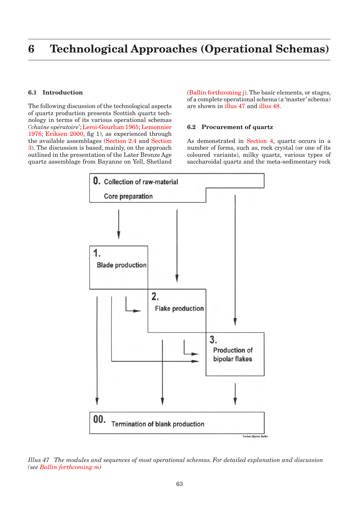# **6 Technological Approaches (Operational Schemas)**

# **6.1 Introduction**

The following discussion of the technological aspects of quartz production presents Scottish quartz technology in terms of its various operational schemas (*'chaîne opératoire'*; Leroi-Gourhan 1965; Lemonnier 1976; Eriksen 2000, fig 1), as experienced through the available assemblages (Section 2.4 and Section 3). The discussion is based, mainly, on the approach outlined in the presentation of the Later Bronze Age quartz assemblage from Bayanne on Yell, Shetland (Ballin forthcoming j). The basic elements, or stages, of a complete operational schema (a 'master' schema) are shown in illus 47 and illus 48.

## **6.2 Procurement of quartz**

As demonstrated in Section 4, quartz occurs in a number of forms, such as, rock crystal (or one of its coloured variants), milky quartz, various types of saccharoidal quartz and the meta-sedimentary rock



*Illus 47 The modules and sequences of most operational schemas. For detailed explanation and discussion (see Ballin forthcoming m)*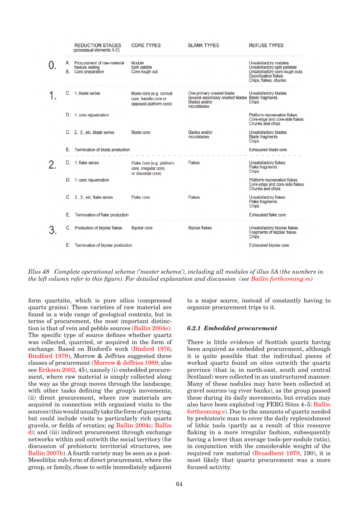

*Illus 48 Complete operational schema ('master schema'), including all modules of illus 5A (the numbers in the left column refer to this figure). For detailed explanation and discussion (see Ballin forthcoming m)*

form quartzite, which is pure silica (compressed quartz grains). These varieties of raw material are found in a wide range of geological contexts, but in terms of procurement, the most important distinction is that of vein and pebble sources (Ballin 2004e). The specific type of source defines whether quartz was collected, quarried, or acquired in the form of exchange. Based on Binford's work (Binford 1976; Bindford 1979), Morrow & Jeffries suggested three classes of procurement (Morrow & Jeffries 1989; also see Eriksen 2002, 45), namely (i) embedded procurement, where raw material is simply collected along the way as the group moves through the landscape, with other tasks defining the group's movements; (ii) direct procurement, where raw materials are acquired in connection with organized visits to the sources (this would usually take the form of quarrying, but could include visits to particularly rich quartz gravels, or fields of erratics; eg Ballin 2004c; Ballin d); and (iii) indirect procurement through exchange networks within and outwith the social territory (for discussion of prehistoric territorial structures, see Ballin 2007b). A fourth variety may be seen as a post-Mesolithic sub-form of direct procurement, where the group, or family, chose to settle immediately adjacent

to a major source, instead of constantly having to organize procurement trips to it.

## *6.2.1 Embedded procurement*

There is little evidence of Scottish quartz having been acquired as embedded procurement, although it is quite possible that the individual pieces of worked quartz found on sites outwith the quartz province (that is, in north-east, south and central Scotland) were collected in an unstructured manner. Many of these nodules may have been collected at gravel sources (eg river banks), as the group passed these during its daily movements, but erratics may also have been exploited (eg FERG Sites 4–5: Ballin forthcoming c). Due to the amounts of quartz needed by prehistoric man to cover the daily replenishment of lithic tools (partly as a result of this resource flaking in a more irregular fashion, subsequently having a lower than average tools-per-nodule ratio), in conjunction with the considerable weight of the required raw material (Broadbent 1979, 190), it is most likely that quartz procurement was a more focused activity.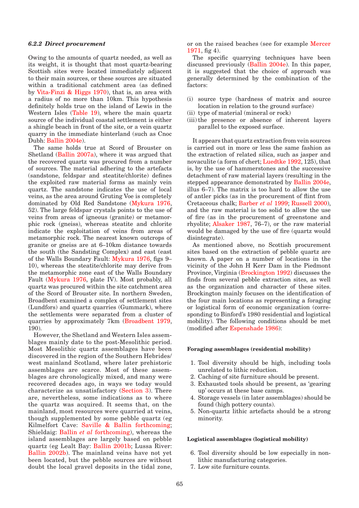## *6.2.2 Direct procurement*

Owing to the amounts of quartz needed, as well as its weight, it is thought that most quartz-bearing Scottish sites were located immediately adjacent to their main sources, or these sources are situated within a traditional catchment area (as defined by Vita-Finzi & Higgs 1970), that is, an area with a radius of no more than 10km. This hypothesis definitely holds true on the island of Lewis in the Western Isles (Table 19), where the main quartz source of the individual coastal settlement is either a shingle beach in front of the site, or a vein quartz quarry in the immediate hinterland (such as Cnoc Dubh: Ballin 2004e).

The same holds true at Scord of Brouster on Shetland (Ballin 2007a), where it was argued that the recovered quartz was procured from a number of sources. The material adhering to the artefacts (sandstone, feldspar and steatite/chlorite) defines the exploited raw material forms as mainly vein quartz. The sandstone indicates the use of local veins, as the area around Gruting Voe is completely dominated by Old Red Sandstone (Mykura 1976, 52). The large feldspar crystals points to the use of veins from areas of igneous (granite) or metamorphic rock (gneiss), whereas steatite and chlorite indicate the exploitation of veins from areas of metamorphic rock. The nearest known outcrops of granite or gneiss are at 6–10km distance towards the south (the Sandsting Complex) and east (east of the Walls Boundary Fault: Mykura 1976, figs 9– 10), whereas the steatite/chlorite may derive from the metamorphic zone east of the Walls Boundary Fault (Mykura 1976, plate IV). Most probably, all quartz was procured within the site catchment area of the Scord of Brouster site. In northern Sweden, Broadbent examined a complex of settlement sites (Lundfors) and quartz quarries (Gummark), where the settlements were separated from a cluster of quarries by approximately 7km (Broadbent 1979, 190).

However, the Shetland and Western Isles assemblages mainly date to the post-Mesolithic period. Most Mesolithic quartz assemblages have been discovered in the region of the Southern Hebrides/ west mainland Scotland, where later prehistoric assemblages are scarce. Most of these assemblages are chronologically mixed, and many were recovered decades ago, in ways we today would characterize as unsatisfactory (Section 3). There are, nevertheless, some indications as to where the quartz was acquired. It seems that, on the mainland, most resources were quarried at veins, though supplemented by some pebble quartz (eg Kilmelfort Cave: Saville & Ballin forthcoming; Shieldaig: Ballin *et al* forthcoming), whereas the island assemblages are largely based on pebble quartz (eg Lealt Bay: Ballin 2001b; Lussa River: Ballin 2002b). The mainland veins have not yet been located, but the pebble sources are without doubt the local gravel deposits in the tidal zone,

or on the raised beaches (see for example Mercer 1971, fig 4).

The specific quarrying techniques have been discussed previously (Ballin 2004e). In this paper, it is suggested that the choice of approach was generally determined by the combination of the factors:

- (i) source type (hardness of matrix and source location in relation to the ground surface)
- (ii) type of material (mineral or rock)
- (iii) the presence or absence of inherent layers parallel to the exposed surface.

It appears that quartz extraction from vein sources is carried out in more or less the same fashion as the extraction of related silica, such as jasper and novaculite (a form of chert; Luedtke 1992, 125), that is, by the use of hammerstones and the successive detachment of raw material layers (resulting in the stepped appearance demonstrated by Ballin 2004e, illus 6–7). The matrix is too hard to allow the use of antler picks (as in the procurement of flint from Cretaceous chalk; Barber *et al* 1999; Russell 2000), and the raw material is too solid to allow the use of fire (as in the procurement of greenstone and rhyolite; Alsaker 1987, 76–7), or the raw material would be damaged by the use of fire (quartz would disintegrate).

As mentioned above, no Scottish procurement sites based on the extraction of pebble quartz are known. A paper on a number of locations in the vicinity of the John H Kerr Dam in the Piedmont Province, Virginia (Brockington 1992) discusses the finds from several pebble extraction sites, as well as the organization and character of these sites. Brockington mainly focuses on the identification of the four main locations as representing a foraging or logistical form of economic organization (corresponding to Binford's 1980 residential and logistical mobility). The following conditions should be met (modified after Espenshade 1986):

### **Foraging assemblages (residential mobility)**

- 1. Tool diversity should be high, including tools unrelated to lithic reduction.
- 2. Caching of site furniture should be present.
- 3. Exhausted tools should be present, as 'gearing up' occurs at these base camps.
- 4. Storage vessels (in later assemblages) should be found (high pottery counts).
- 5. Non-quartz lithic artefacts should be a strong minority.

### **Logistical assemblages (logistical mobility)**

- 6. Tool diversity should be low especially in nonlithic manufacturing categories.
- 7. Low site furniture counts.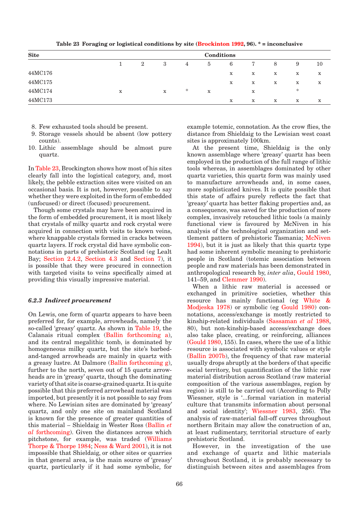| --------    |             |                |             |   |   |             |             | -------------- |             |             |
|-------------|-------------|----------------|-------------|---|---|-------------|-------------|----------------|-------------|-------------|
| <b>Site</b> | Conditions  |                |             |   |   |             |             |                |             |             |
|             |             | $\overline{2}$ | 3           | 4 | 5 | 6           | 7           | 8              | 9           | 10          |
| 44MC176     |             |                |             |   |   | X           | $\mathbf x$ | x              | $\mathbf X$ | $\mathbf x$ |
| 44MC175     |             |                |             |   |   | $\mathbf X$ | $\mathbf X$ | $\mathbf x$    | X           | $\mathbf x$ |
| 44MC174     | $\mathbf x$ |                | $\mathbf x$ | ∗ | X |             | X           |                | ∗           |             |
| 44MC173     |             |                |             |   |   | X           | X           | x              | X           | X           |

**Table 23 Foraging or logistical conditions by site (Brockinton 1992, 96). \* = inconclusive**

- 8. Few exhausted tools should be present.
- 9. Storage vessels should be absent (low pottery counts).
- 10. Lithic assemblage should be almost pure quartz.

In Table 23, Brockington shows how most of his sites clearly fall into the logistical category, and, most likely, the pebble extraction sites were visited on an occasional basis. It is not, however, possible to say whether they were exploited in the form of embedded (unfocused) or direct (focused) procurement.

Though some crystals may have been acquired in the form of embedded procurement, it is most likely that crystals of milky quartz and rock crystal were acquired in connection with visits to known veins, where knappable crystals formed in cracks between quartz layers. If rock crystal did have symbolic connotations in parts of prehistoric Scotland (eg Lealt Bay; Section 2.4.2, Section 4.3 and Section 7), it is possible that they were procured in connection with targeted visits to veins specifically aimed at providing this visually impressive material.

## *6.2.3 Indirect procurement*

On Lewis, one form of quartz appears to have been preferred for, for example, arrowheads, namely the so-called 'greasy' quartz. As shown in Table 19, the Calanais ritual complex (Ballin forthcoming a), and its central megalithic tomb, is dominated by homogeneous milky quartz, but the site's barbedand-tanged arrowheads are mainly in quartz with a greasy lustre. At Dalmore (Ballin forthcoming g), further to the north, seven out of 15 quartz arrowheads are in 'greasy' quartz, though the dominating variety of that site is coarse-grained quartz. It is quite possible that this preferred arrowhead material was imported, but presently it is not possible to say from where. No Lewisian sites are dominated by 'greasy' quartz, and only one site on mainland Scotland is known for the presence of greater quantities of this material – Shieldaig in Wester Ross (Ballin *et al* forthcoming). Given the distances across which pitchstone, for example, was traded (Williams Thorpe & Thorpe 1984; Ness & Ward 2001), it is not impossible that Shieldaig, or other sites or quarries in that general area, is the main source of 'greasy' quartz, particularly if it had some symbolic, for

example totemic, connotation. As the crow flies, the distance from Shieldaig to the Lewisian west coast sites is approximately 100km.

At the present time, Shieldaig is the only known assemblage where 'greasy' quartz has been employed in the production of the full range of lithic tools whereas, in assemblages dominated by other quartz varieties, this quartz form was mainly used to manufacture arrowheads and, in some cases, more sophisticated knives. It is quite possible that this state of affairs purely reflects the fact that 'greasy' quartz has better flaking properties and, as a consequence, was saved for the production of more complex, invasively retouched lithic tools (a mainly functional view is favoured by McNiven in his analysis of the technological organization and settlement pattern of prehistoric Tasmania; McNiven 1994), but it is just as likely that this quartz type had some inherent symbolic meaning to prehistoric people in Scotland (totemic association between people and raw materials has been demonstrated in anthropological research by, *inter alia*, Gould 1980, 141–59, and Clemmer 1990).

When a lithic raw material is accessed or exchanged in primitive societies, whether this resource has mainly functional (eg White & Modjeska 1978) or symbolic (eg Gould 1980) connotations, access/exchange is mostly restricted to kinship-related individuals (Sassaman *et al* 1988, 80), but non-kinship-based access/exchange does also take place, creating, or reinforcing, alliances (Gould 1980, 155). In cases, where the use of a lithic resource is associated with symbolic values or style (Ballin 2007b), the frequency of that raw material usually drops abruptly at the borders of that specific social territory, but quantification of the lithic raw material distribution across Scotland (raw material composition of the various assemblages, region by region) is still to be carried out (According to Polly Wiessner, style is '...formal variation in material culture that transmits information about personal and social identity'; Wiessner 1983, 256). The analysis of raw-material fall-off curves throughout northern Britain may allow the construction of an, at least rudimentary, territorial structure of early prehistoric Scotland.

However, in the investigation of the use and exchange of quartz and lithic materials throughout Scotland, it is probably necessary to distinguish between sites and assemblages from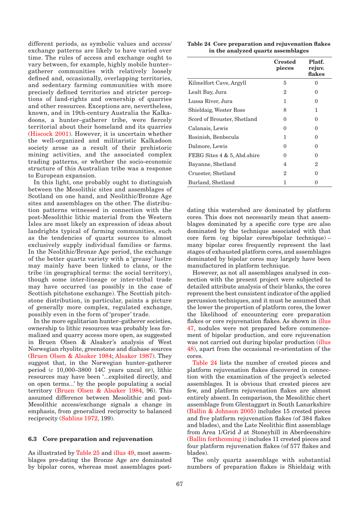different periods, as symbolic values and access/ exchange patterns are likely to have varied over time. The rules of access and exchange ought to vary between, for example, highly mobile hunter– gatherer communities with relatively loosely defined and, occasionally, overlapping territories, and sedentary farming communities with more precisely defined territories and stricter perceptions of land-rights and ownership of quarries and other resources. Exceptions are, nevertheless, known, and in 19th-century Australia the Kalkadoons, a hunter–gatherer tribe, were fiercely territorial about their homeland and its quarries (Hiscock 2001). However, it is uncertain whether the well-organized and militaristic Kalkadoon society arose as a result of their prehistoric mining activities, and the associated complex trading patterns, or whether the socio-economic structure of this Australian tribe was a response to European expansion.

In this light, one probably ought to distinguish between the Mesolithic sites and assemblages of Scotland on one hand, and Neolithic/Bronze Age sites and assemblages on the other. The distribution patterns witnessed in connection with the post-Mesolithic lithic material from the Western Isles are most likely an expression of ideas about landrights typical of farming communities, such as the tendencies of quartz sources to almost exclusively supply individual families or farms. In the Neolithic/Bronze Age period, the exchange of the better quartz variety with a 'greasy' lustre may mainly have been linked to clans, or the tribe (in geographical terms: the social territory), though some inter-lineage or inter-tribal trade may have occurred (as possibly in the case of Scottish pitchstone exchange). The Scottish pitchstone distribution, in particular, paints a picture of generally more complex, regulated exchange, possibly even in the form of 'proper' trade.

In the more egalitarian hunter–gatherer societies, ownership to lithic resources was probably less formalized and quarry access more open, as suggested in Bruen Olsen & Alsaker's analysis of West Norwegian rhyolite, greenstone and diabase sources (Bruen Olsen & Alsaker 1984; Alsaker 1987). They suggest that, in the Norwegian hunter–gatherer period (*c* 10,000–3800 14C years uncal bp), lithic resources may have been '...exploited directly, and on open terms...' by the people populating a social territory (Bruen Olsen & Alsaker 1984, 96). This assumed difference between Mesolithic and post-Mesolithic access/exchange signals a change in emphasis, from generalized reciprocity to balanced reciprocity (Sahlins 1972, 199).

# **6.3 Core preparation and rejuvenation**

As illustrated by Table 25 and illus 49, most assemblages pre-dating the Bronze Age are dominated by bipolar cores, whereas most assemblages post-

| Table 24 Core preparation and rejuvenation flakes |                                    |  |
|---------------------------------------------------|------------------------------------|--|
|                                                   | in the analyzed quartz assemblages |  |

|                             | <b>Crested</b><br>pieces | Platf.<br>rejuv.<br>flakes |
|-----------------------------|--------------------------|----------------------------|
| Kilmelfort Cave, Argyll     | 5                        | $\mathbf{\Omega}$          |
| Lealt Bay, Jura             | 2                        | $\Omega$                   |
| Lussa River, Jura           | 1                        | 0                          |
| Shieldaig, Wester Ross      | 8                        | 1                          |
| Scord of Brouster, Shetland | $\Omega$                 | 0                          |
| Calanais, Lewis             | 0                        | 0                          |
| Rosinish, Benbecula         | 1                        | $\Omega$                   |
| Dalmore, Lewis              | $\Omega$                 | 0                          |
| FERG Sites 4 & 5, Abd.shire | $\Omega$                 | 0                          |
| Bayanne, Shetland           | 4                        | $\overline{2}$             |
| Cruester, Shetland          | 2                        | $\Omega$                   |
| Burland, Shetland           | 1                        |                            |

dating this watershed are dominated by platform cores. This does not necessarily mean that assemblages dominated by a specific core type are also dominated by the technique associated with that core form (eg bipolar cores/bipolar technique) – many bipolar cores frequently represent the last stages of exhausted platform cores, and assemblages dominated by bipolar cores may largely have been manufactured in platform technique.

However, as not all assemblages analysed in connection with the present project were subjected to detailed attribute analysis of their blanks, the cores represent the best consistent indicator of the applied percussion techniques, and it must be assumed that the lower the proportion of platform cores, the lower the likelihood of encountering core preparation flakes or core rejuvenation flakes. As shown in illus 47, nodules were not prepared before commencement of bipolar production, and core rejuvenation was not carried out during bipolar production (illus 48), apart from the occasional re-orientation of the cores.

Table 24 lists the number of crested pieces and platform rejuvenation flakes discovered in connection with the examination of the project's selected assemblages. It is obvious that crested pieces are few, and platform rejuvenation flakes are almost entirely absent. In comparison, the Mesolithic chert assemblage from Glentaggart in South Lanarkshire (Ballin & Johnson 2005) includes 15 crested pieces and five platform rejuvenation flakes (of 384 flakes and blades), and the Late Neolithic flint assemblage from Area 1/Grid J at Stoneyhill in Aberdeenshire (Ballin forthcoming i) includes 11 crested pieces and four platform rejuvenation flakes (of 577 flakes and blades).

The only quartz assemblage with substantial numbers of preparation flakes is Shieldaig with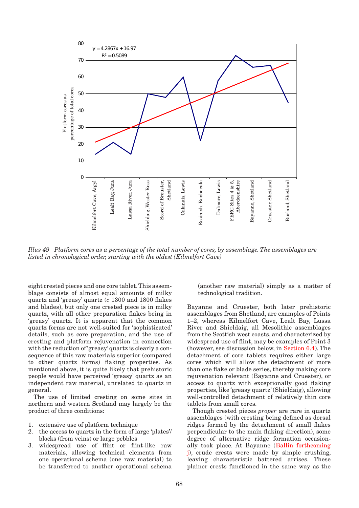

*Illus 49 Platform cores as a percentage of the total number of cores, by assemblage. The assemblages are listed in chronological order, starting with the oldest (Kilmelfort Cave)*

eight crested pieces and one core tablet. This assemblage consists of almost equal amounts of milky quartz and 'greasy' quartz (*c* 1300 and 1800 flakes and blades), but only one crested piece is in milky quartz, with all other preparation flakes being in 'greasy' quartz. It is apparent that the common quartz forms are not well-suited for 'sophisticated' details, such as core preparation, and the use of cresting and platform rejuvenation in connection with the reduction of 'greasy' quartz is clearly a consequence of this raw materials superior (compared to other quartz forms) flaking properties. As mentioned above, it is quite likely that prehistoric people would have perceived 'greasy' quartz as an independent raw material, unrelated to quartz in general.

The use of limited cresting on some sites in northern and western Scotland may largely be the product of three conditions:

- 1. extensive use of platform technique
- 2. the access to quartz in the form of large 'plates'/ blocks (from veins) or large pebbles
- 3. widespread use of flint or flint-like raw materials, allowing technical elements from one operational schema (one raw material) to be transferred to another operational schema

(another raw material) simply as a matter of technological tradition.

Bayanne and Cruester, both later prehistoric assemblages from Shetland, are examples of Points 1–2, whereas Kilmelfort Cave, Lealt Bay, Lussa River and Shieldaig, all Mesolithic assemblages from the Scottish west coasts, and characterized by widespread use of flint, may be examples of Point 3 (however, see discussion below, in Section 6.4). The detachment of core tablets requires either large cores which will allow the detachment of more than one flake or blade series, thereby making core rejuvenation relevant (Bayanne and Cruester), or access to quartz with exceptionally good flaking properties, like 'greasy quartz' (Shieldaig), allowing well-controlled detachment of relatively thin core tablets from small cores.

Though crested pieces *proper* are rare in quartz assemblages (with cresting being defined as dorsal ridges formed by the detachment of small flakes perpendicular to the main flaking direction), some degree of alternative ridge formation occasionally took place. At Bayanne (Ballin forthcoming j), crude crests were made by simple crushing, leaving characteristic battered arrises. These plainer crests functioned in the same way as the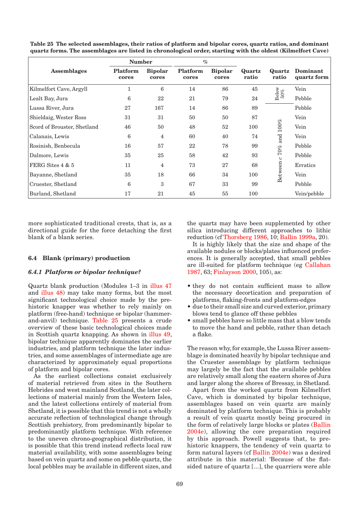|                             | <b>Number</b>     |                         | $\%$                     |                         |                 |                 |                         |
|-----------------------------|-------------------|-------------------------|--------------------------|-------------------------|-----------------|-----------------|-------------------------|
| <b>Assemblages</b>          | Platform<br>cores | <b>Bipolar</b><br>cores | <b>Platform</b><br>cores | <b>Bipolar</b><br>cores | Quartz<br>ratio | Quartz<br>ratio | Dominant<br>quartz form |
| Kilmelfort Cave, Argyll     | п                 | 6                       | 14                       | 86                      | 45              |                 | Vein                    |
| Lealt Bay, Jura             | 6                 | 22                      | 21                       | 79                      | 24              | Below<br>$50\%$ | Pebble                  |
| Lussa River, Jura           | 27                | 167                     | 14                       | 86                      | 89              |                 | Pebble                  |
| Shieldaig, Wester Ross      | 31                | 31                      | 50                       | 50                      | 87              |                 | Vein                    |
| Scord of Brouster, Shetland | 46                | 50                      | 48                       | 52                      | 100             | $100\%$         | Vein                    |
| Calanais, Lewis             | 6                 | 4                       | 60                       | 40                      | 74              |                 | Vein                    |
| Rosinish, Benbecula         | 16                | 57                      | 22                       | 78                      | 99              | $c$ 70% and     | Pebble                  |
| Dalmore, Lewis              | 35                | 25                      | 58                       | 42                      | 93              |                 | Pebble                  |
| FERG Sites 4 & 5            | 11                | 4                       | 73                       | 27                      | 68              |                 | Erratics                |
| Bayanne, Shetland           | 35                | 18                      | 66                       | 34                      | 100             | Between         | Vein                    |
| Cruester, Shetland          | 6                 | 3                       | 67                       | 33                      | 99              |                 | Pebble                  |
| Burland, Shetland           | 17                | 21                      | 45                       | 55                      | 100             |                 | Vein/pebble             |

**Table 25 The selected assemblages, their ratios of platform and bipolar cores, quartz ratios, and dominant quartz forms. The assemblages are listed in chronological order, starting with the oldest (Kilmelfort Cave)**

more sophisticated traditional crests, that is, as a directional guide for the force detaching the first blank of a blank series.

# **6.4 Blank (primary) production**

## *6.4.1 Platform or bipolar technique?*

Quartz blank production (Modules 1–3 in illus 47 and illus 48) may take many forms, but the most significant technological choice made by the prehistoric knapper was whether to rely mainly on platform (free-hand) technique or bipolar (hammerand-anvil) technique. Table 25 presents a crude overview of these basic technological choices made in Scottish quartz knapping. As shown in illus 49, bipolar technique apparently dominates the earlier industries, and platform technique the later industries, and some assemblages of intermediate age are characterized by approximately equal proportions of platform and bipolar cores.

As the earliest collections consist exclusively of material retrieved from sites in the Southern Hebrides and west mainland Scotland, the later collections of material mainly from the Western Isles, and the latest collections entirely of material from Shetland, it is possible that this trend is not a wholly accurate reflection of technological change through Scottish prehistory, from predominantly bipolar to predominantly platform technique. With reference to the uneven chrono-geographical distribution, it is possible that this trend instead reflects local raw material availability, with some assemblages being based on vein quartz and some on pebble quartz, the local pebbles may be available in different sizes, and the quartz may have been supplemented by other silica introducing different approaches to lithic reduction (cf Thorsberg 1986, 10; Ballin 1999a, 20).

It is highly likely that the size and shape of the available nodules or blocks/plates influenced preferences. It is generally accepted, that small pebbles are ill-suited for platform technique (eg Callahan 1987, 63; Finlayson 2000, 105), as:

- they do not contain sufficient mass to allow the necessary decortication and preparation of platforms, flaking-fronts and platform-edges
- due to their small size and curved exterior, primary blows tend to glance off these pebbles
- small pebbles have so little mass that a blow tends to move the hand and pebble, rather than detach a flake.

The reason why, for example, the Lussa River assemblage is dominated heavily by bipolar technique and the Cruester assemblage by platform technique may largely be the fact that the available pebbles are relatively small along the eastern shores of Jura and larger along the shores of Bressay, in Shetland.

Apart from the worked quartz from Kilmelfort Cave, which is dominated by bipolar technique, assemblages based on vein quartz are mainly dominated by platform technique. This is probably a result of vein quartz mostly being procured in the form of relatively large blocks or plates (Ballin 2004e), allowing the core preparation required by this approach. Powell suggests that, to prehistoric knappers, the tendency of vein quartz to form natural layers (cf Ballin 2004e) was a desired attribute in this material: 'Because of the flatsided nature of quartz [...], the quarriers were able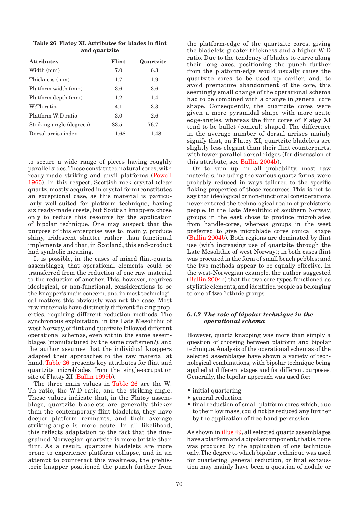|               | Table 26 Flatov XI. Attributes for blades in flint |  |  |  |  |  |
|---------------|----------------------------------------------------|--|--|--|--|--|
| and quartzite |                                                    |  |  |  |  |  |

| <b>Attributes</b>        | Flint | Quartzite |
|--------------------------|-------|-----------|
| Width (mm)               | 7.0   | 6.3       |
| Thickness (mm)           | 1.7   | 1.9       |
| Platform width (mm)      | 3.6   | 3.6       |
| Platform depth (mm)      | 1.2   | 1.4       |
| W <sup>.</sup> Th ratio  | 4.1   | 3.3       |
| Platform W:D ratio       | 3.0   | 2.6       |
| Striking-angle (degrees) | 83.5  | 76.7      |
| Dorsal arriss index      | 1.68  | 1.48      |

to secure a wide range of pieces having roughly parallel sides. These constituted natural cores, with ready-made striking and anvil platforms (Powell 1965). In this respect, Scottish rock crystal (clear quartz, mostly acquired in crystal form) constitutes an exceptional case, as this material is particularly well-suited for platform technique, having six ready-made crests, but Scottish knappers chose only to reduce this resource by the application of bipolar technique. One may suspect that the purpose of this enterprise was to, mainly, produce shiny, iridescent shatter rather than functional implements and that, in Scotland, this end-product had symbolic meaning.

It is possible, in the cases of mixed flint-quartz assemblages, that operational elements could be transferred from the reduction of one raw material to the reduction of another. This, however, requires ideological, or non-functional, considerations to be the knapper's main concern, and in most technological matters this obviously was not the case. Most raw materials have distinctly different flaking properties, requiring different reduction methods. The synchronous exploitation, in the Late Mesolithic of west Norway, of flint and quartzite followed different operational schemas, even within the same assemblages (manufactured by the same craftsmen?), and the author assumes that the individual knappers adapted their approaches to the raw material at hand. Table 26 presents key attributes for flint and quartzite microblades from the single-occupation site of Flatøy XI (Ballin 1999b).

The three main values in Table 26 are the W: Th ratio, the W:D ratio, and the striking-angle. These values indicate that, in the Flatøy assemblage, quartzite bladelets are generally thicker than the contemporary flint bladelets, they have deeper platform remnants, and their average striking-angle is more acute. In all likelihood, this reflects adaptation to the fact that the finegrained Norwegian quartzite is more brittle than flint. As a result, quartzite bladelets are more prone to experience platform collapse, and in an attempt to counteract this weakness, the prehistoric knapper positioned the punch further from the platform-edge of the quartzite cores, giving the bladelets greater thickness and a higher W:D ratio. Due to the tendency of blades to curve along their long axes, positioning the punch further from the platform-edge would usually cause the quartzite cores to be used up earlier, and, to avoid premature abandonment of the core, this seemingly small change of the operational schema had to be combined with a change in general core shape. Consequently, the quartzite cores were given a more pyramidal shape with more acute edge-angles, whereas the flint cores of Flatøy XI tend to be bullet (conical) shaped. The difference in the average number of dorsal arrises mainly signify that, on Flatøy XI, quartzite bladelets are slightly less elegant than their flint counterparts, with fewer parallel dorsal ridges (for discussion of this attribute, see Ballin 2004b).

Or to sum up: in all probability, most raw materials, including the various quartz forms, were probably reduced in ways tailored to the specific flaking properties of those resources. This is not to say that ideological or non-functional considerations never entered the technological realm of prehistoric people. In the Late Mesolithic of southern Norway, groups in the east chose to produce microblades from handle-cores, whereas groups in the west preferred to give microblade cores conical shape (Ballin 2004b). Both regions are dominated by flint use (with increasing use of quartzite through the Late Mesolithic of west Norway); in both cases flint was procured in the form of small beach pebbles; and the two methods appear to be equally effective. In the west-Norwegian example, the author suggested (Ballin 2004b) that the two core types functioned as stylistic elements, and identified people as belonging to one of two ?ethnic groups.

# *6.4.2 The role of bipolar technique in the operational schema*

However, quartz knapping was more than simply a question of choosing between platform and bipolar technique. Analysis of the operational schemas of the selected assemblages have shown a variety of technological combinations, with bipolar technique being applied at different stages and for different purposes. Generally, the bipolar approach was used for:

- initial quartering
- general reduction •
- final reduction of small platform cores which, due to their low mass, could not be reduced any further by the application of free-hand percussion.

As shown in illus 49, all selected quartz assemblages have a platform and a bipolar component, that is, none was produced by the application of one technique only. The degree to which bipolar technique was used for quartering, general reduction, or final exhaustion may mainly have been a question of nodule or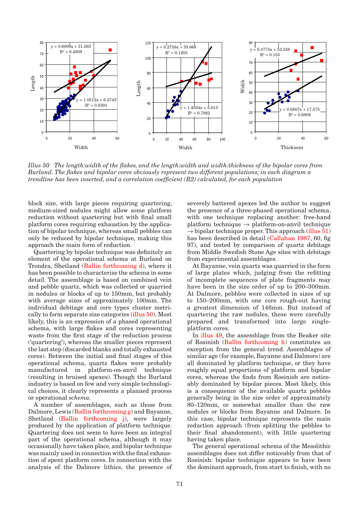

*Illus 50 The length:width of the flakes, and the length:width and width:thickness of the bipolar cores from Burland. The flakes and bipolar cores obviously represent two different populations; in each diagram a trendline has been inserted, and a correlation coefficient (R2) calculated, for each population*

block size, with large pieces requiring quartering, medium-sized nodules might allow some platform reduction without quartering but with final small platform cores requiring exhaustion by the application of bipolar technique, whereas small pebbles can only be reduced by bipolar technique, making this approach the main form of reduction.

Quartering by bipolar technique was definitely an element of the operational schema at Burland on Trondra, Shetland (Ballin forthcoming d), where it has been possible to characterize the schema in some detail. The assemblage is based on combined vein and pebble quartz, which was collected or quarried in nodules or blocks of up to 150mm, but probably with average sizes of approximately 100mm. The individual debitage and core types cluster metrically to form separate size categories (illus 50). Most likely, this is an expression of a phased operational schema, with large flakes and cores representing waste from the first stage of the reduction process ('quartering'), whereas the smaller pieces represent the last step (discarded blanks and totally exhausted cores). Between the initial and final stages of this operational schema, quartz flakes were probably manufactured in platform-on-anvil technique (resulting in bruised apexes). Though the Burland industry is based on few and very simple technological choices, it clearly represents a planned process or operational *schema*.

A number of assemblages, such as those from Dalmore, Lewis (Ballin forthcoming g) and Bayanne, Shetland (Ballin forthcoming j), were largely produced by the application of platform technique. Quartering does not seem to have been an integral part of the operational schema, although it may occasionally have taken place, and bipolar technique was mainly used in connection with the final exhaustion of spent platform cores. In connection with the analysis of the Dalmore lithics, the presence of severely battered apexes led the author to suggest the presence of a three-phased operational schema, with one technique replacing another: free-hand platform technique  $\rightarrow$  platform-on-anvil technique  $\rightarrow$  bipolar technique proper. This approach (illus 51) has been described in detail (Callahan 1987, 60, fig 97), and tested by comparison of quartz debitage from Middle Swedish Stone Age sites with debitage from experimental assemblages.

At Bayanne, vein quartz was quarried in the form of large plates which, judging from the refitting of incomplete sequences of plate fragments may have been in the size order of up to 200–300mm. At Dalmore, pebbles were collected in sizes of up to 150–200mm, with one core rough-out having a greatest dimension of 146mm. But instead of quartering the raw nodules, these were carefully prepared and transformed into large singleplatform cores.

In illus 49, the assemblage from the Beaker site of Rosinish (Ballin forthcoming h) constitutes an exception from the general trend. Assemblages of similar age (for example, Bayanne and Dalmore) are all dominated by platform technique, or they have roughly equal proportions of platform and bipolar cores, whereas the finds from Rosinish are noticeably dominated by bipolar pieces. Most likely, this is a consequence of the available quartz pebbles generally being in the size order of approximately 80–120mm, or somewhat smaller than the raw nodules or blocks from Bayanne and Dalmore. In this case, bipolar technique represents the main reduction approach (from splitting the pebbles to their final abandonment), with little quartering having taken place.

The general operational schema of the Mesolithic assemblages does not differ noticeably from that of Rosinish: bipolar technique appears to have been the dominant approach, from start to finish, with no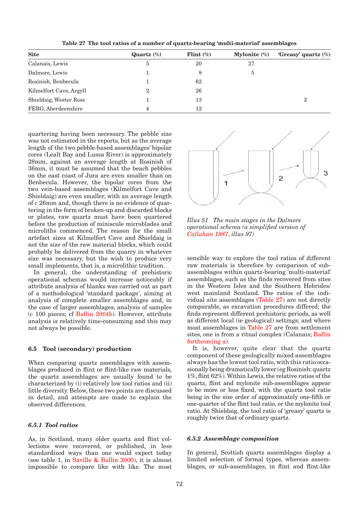| <b>Site</b>             | Quartz $(\%)$  | Flint $(\%)$ | Mylonite $(\%)$ | 'Greasy' quartz $(\%)$ |
|-------------------------|----------------|--------------|-----------------|------------------------|
| Calanais, Lewis         | 5              | 20           | 27              |                        |
| Dalmore, Lewis          |                | 8            | <sub>5</sub>    |                        |
| Rosinish, Benbecula     |                | 62           |                 |                        |
| Kilmelfort Cave, Argyll | $\overline{2}$ | 26           |                 |                        |
| Shieldaig, Wester Ross  |                | 13           |                 | $\overline{2}$         |
| FERG, Aberdeenshire     |                | 12           |                 |                        |

**Table 27 The tool ratios of a number of quartz-bearing 'multi-material' assemblages**

quartering having been necessary. The pebble size was not estimated in the reports, but as the average length of the two pebble-based assemblages' bipolar cores (Lealt Bay and Lussa River) is approximately 28mm, against an average length at Rosinish of 36mm, it must be assumed that the beach pebbles on the east coast of Jura are even smaller than on Benbecula. However, the bipolar cores from the two vein-based assemblages (Kilmelfort Cave and Shieldaig) are even smaller, with an average length of *c* 26mm and, though there is no evidence of quartering in the form of broken-up and discarded blocks or plates, raw quartz must have been quartered before the production of miniscule microblades and microliths commenced. The reason for the small artefact sizes at Kilmelfort Cave and Shieldaig is not the size of the raw material blocks, which could probably be delivered from the quarry in whatever size was necessary, but the wish to produce very small implements, that is, a microlithic tradition.

In general, the understanding of prehistoric operational schemas would increase noticeably if attribute analysis of blanks was carried out as part of a methodological 'standard package', aiming at analysis of complete smaller assemblages and, in the case of larger assemblages, analysis of samples (*c* 100 pieces; cf Ballin 2004b). However, attribute analysis is relatively time-consuming and this may not always be possible.

# **6.5 Tool (secondary) production**

When comparing quartz assemblages with assemblages produced in flint or flint-like raw materials, the quartz assemblages are usually found to be characterized by (i) relatively low tool ratios and (ii) little diversity. Below, these two points are discussed in detail, and attempts are made to explain the observed differences.

# *6.5.1 Tool ratios*

As, in Scotland, many older quartz and flint collections were recovered, or published, in less standardized ways than one would expect today (see table 1, in Saville & Ballin 2000), it is almost impossible to compare like with like. The most



*Illus 51 The main stages in the Dalmore operational schema (a simplified version of Callahan 1987, illus 97)*

sensible way to explore the tool ratios of different raw materials is therefore by comparison of subassemblages within quartz-bearing 'multi-material' assemblages, such as the finds recovered from sites in the Western Isles and the Southern Hebrides/ west mainland Scotland. The ratios of the individual site assemblages (Table 27) are not directly comparable, as excavation procedures differed; the finds represent different prehistoric periods, as well as different local (ie geological) settings; and where most assemblages in Table 27 are from settlement sites, one is from a ritual complex (Calanais; Ballin forthcoming a).

It is, however, quite clear that the quartz component of these geologically mixed assemblages always has the lowest tool ratio, with this ratio occasionally being dramatically lower (eg Rosinish: quartz 1%, flint 62%). Within Lewis, the relative ratios of the quartz, flint and mylonite sub-assemblages appear to be more or less fixed, with the quartz tool ratio being in the size order of approximately one-fifth or one-quarter of the flint tool ratio, or the mylonite tool ratio. At Shieldaig, the tool ratio of 'greasy' quartz is roughly twice that of ordinary quartz.

# *6.5.2 Assemblage composition*

In general, Scottish quartz assemblages display a limited selection of formal types, whereas assemblages, or sub-assemblages, in flint and flint-like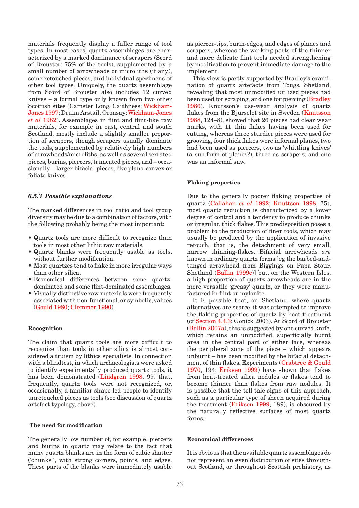materials frequently display a fuller range of tool types. In most cases, quartz assemblages are characterized by a marked dominance of scrapers (Scord of Brouster: 75% of the tools), supplemented by a small number of arrowheads or microliths (if any), some retouched pieces, and individual specimens of other tool types. Uniquely, the quartz assemblage from Scord of Brouster also includes 12 curved knives – a formal type only known from two other Scottish sites (Camster Long, Caithness: Wickham-Jones 1997; Druim Arstail, Oronsay: Wickham-Jones *et al* 1982). Assemblages in flint and flint-like raw materials, for example in east, central and south Scotland, mostly include a slightly smaller proportion of scrapers, though scrapers usually dominate the tools, supplemented by relatively high numbers of arrowheads/microliths, as well as several serrated pieces, burins, piercers, truncated pieces, and – occasionally – larger bifacial pieces, like plano-convex or foliate knives.

## *6.5.3 Possible explanations*

The marked differences in tool ratio and tool group diversity may be due to a combination of factors, with the following probably being the most important:

- Quartz tools are more difficult to recognize than tools in most other lithic raw materials.
- Quartz blanks were frequently usable as tools, without further modification.
- Most quartzes tend to flake in more irregular ways than other silica.
- Economical differences between some quartz-• dominated and some flint-dominated assemblages.
- Visually distinctive raw materials were frequently associated with non-functional, or symbolic, values (Gould 1980; Clemmer 1990).

## **Recognition**

The claim that quartz tools are more difficult to recognize than tools in other silica is almost considered a truism by lithics specialists. In connection with a blindtest, in which archaeologists were asked to identify experimentally produced quartz tools, it has been demonstrated (Lindgren 1998, 99) that, frequently, quartz tools were not recognized, or, occasionally, a familiar shape led people to identify unretouched pieces as tools (see discussion of quartz artefact typology, above).

# **The need for modification**

The generally low number of, for example, piercers and burins in quartz may relate to the fact that many quartz blanks are in the form of cubic shatter ('chunks'), with strong corners, points, and edges. These parts of the blanks were immediately usable as piercer-tips, burin-edges, and edges of planes and scrapers, whereas the working-parts of the thinner and more delicate flint tools needed strengthening by modification to prevent immediate damage to the implement.

This view is partly supported by Bradley's examination of quartz artefacts from Tougs, Shetland, revealing that most unmodified utilized pieces had been used for scraping, and one for piercing (Bradley 1986). Knutsson's use-wear analysis of quartz flakes from the Bjurselet site in Sweden (Knutsson 1988, 124–8), showed that 26 pieces had clear wear marks, with 11 thin flakes having been used for cutting, whereas three sturdier pieces were used for grooving, four thick flakes were informal planes, two had been used as piercers, two as 'whittling knives' (a sub-form of planes?), three as scrapers, and one was an informal saw.

### **Flaking properties**

Due to the generally poorer flaking properties of quartz (Callahan *et al* 1992; Knuttson 1998, 75), most quartz reduction is characterized by a lower degree of control and a tendency to produce chunks or irregular, thick flakes. This predisposition poses a problem to the production of finer tools, which may usually be produced by the application of invasive retouch, that is, the detachment of very small, narrow thinning-flakes. Bifacial arrowheads *are* known in ordinary quartz forms [eg the barbed-andtanged arrowhead from Biggings on Papa Stour, Shetland (Ballin 1999c)] but, on the Western Isles, a high proportion of quartz arrowheads are in the more versatile 'greasy' quartz, or they were manufactured in flint or mylonite.

It is possible that, on Shetland, where quartz alternatives are scarce, it was attempted to improve the flaking properties of quartz by heat-treatment (cf Section 4.4.3; Gonick 2003). At Scord of Brouster (Ballin 2007a), this is suggested by one curved knife, which retains an unmodified, superficially burnt area in the central part of either face, whereas the peripheral zone of the piece – which appears unburnt – has been modified by the bifacial detachment of thin flakes. Experiments (Crabtree & Gould 1970, 194; Eriksen 1999) have shown that flakes from heat-treated silica nodules or flakes tend to become thinner than flakes from raw nodules. It is possible that the tell-tale signs of this approach, such as a particular type of sheen acquired during the treatment (Eriksen 1999, 189), is obscured by the naturally reflective surfaces of most quartz forms.

# **Economical differences**

It is obvious that the available quartz assemblages do not represent an even distribution of sites throughout Scotland, or throughout Scottish prehistory, as